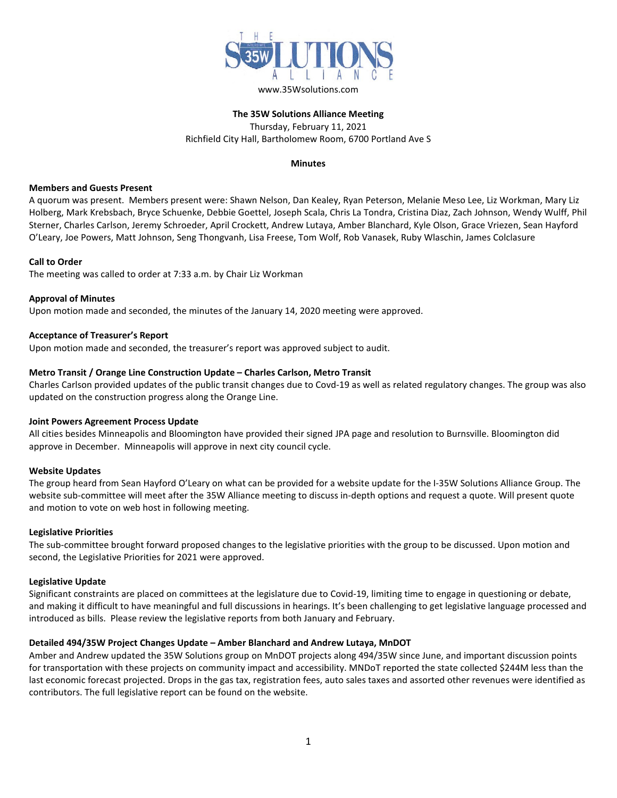

## **The 35W Solutions Alliance Meeting** Thursday, February 11, 2021 Richfield City Hall, Bartholomew Room, 6700 Portland Ave S

#### **Minutes**

#### **Members and Guests Present**

A quorum was present. Members present were: Shawn Nelson, Dan Kealey, Ryan Peterson, Melanie Meso Lee, Liz Workman, Mary Liz Holberg, Mark Krebsbach, Bryce Schuenke, Debbie Goettel, Joseph Scala, Chris La Tondra, Cristina Diaz, Zach Johnson, Wendy Wulff, Phil Sterner, Charles Carlson, Jeremy Schroeder, April Crockett, Andrew Lutaya, Amber Blanchard, Kyle Olson, Grace Vriezen, Sean Hayford O'Leary, Joe Powers, Matt Johnson, Seng Thongvanh, Lisa Freese, Tom Wolf, Rob Vanasek, Ruby Wlaschin, James Colclasure

## **Call to Order**

The meeting was called to order at 7:33 a.m. by Chair Liz Workman

## **Approval of Minutes**

Upon motion made and seconded, the minutes of the January 14, 2020 meeting were approved.

## **Acceptance of Treasurer's Report**

Upon motion made and seconded, the treasurer's report was approved subject to audit.

#### **Metro Transit / Orange Line Construction Update – Charles Carlson, Metro Transit**

Charles Carlson provided updates of the public transit changes due to Covd-19 as well as related regulatory changes. The group was also updated on the construction progress along the Orange Line.

## **Joint Powers Agreement Process Update**

All cities besides Minneapolis and Bloomington have provided their signed JPA page and resolution to Burnsville. Bloomington did approve in December. Minneapolis will approve in next city council cycle.

## **Website Updates**

The group heard from Sean Hayford O'Leary on what can be provided for a website update for the I-35W Solutions Alliance Group. The website sub-committee will meet after the 35W Alliance meeting to discuss in-depth options and request a quote. Will present quote and motion to vote on web host in following meeting.

#### **Legislative Priorities**

The sub-committee brought forward proposed changes to the legislative priorities with the group to be discussed. Upon motion and second, the Legislative Priorities for 2021 were approved.

#### **Legislative Update**

Significant constraints are placed on committees at the legislature due to Covid-19, limiting time to engage in questioning or debate, and making it difficult to have meaningful and full discussions in hearings. It's been challenging to get legislative language processed and introduced as bills. Please review the legislative reports from both January and February.

## **Detailed 494/35W Project Changes Update – Amber Blanchard and Andrew Lutaya, MnDOT**

Amber and Andrew updated the 35W Solutions group on MnDOT projects along 494/35W since June, and important discussion points for transportation with these projects on community impact and accessibility. MNDoT reported the state collected \$244M less than the last economic forecast projected. Drops in the gas tax, registration fees, auto sales taxes and assorted other revenues were identified as contributors. The full legislative report can be found on the website.